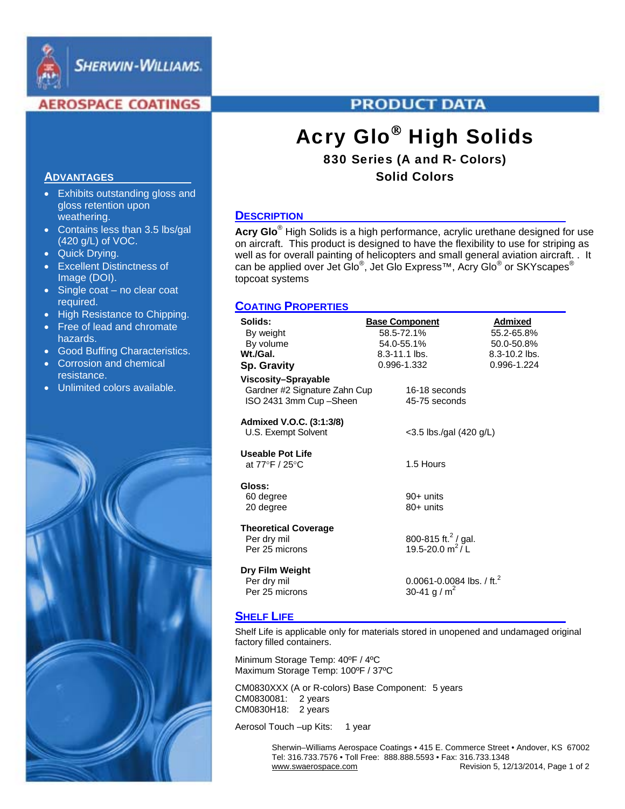

**SHERWIN-WILLIAMS.** 

## **AEROSPACE COATINGS**

# **PRODUCT DATA**

# Acry Glo® High Solids

# 830 Series (A and R- Colors) Solid Colors

#### **DESCRIPTION**

**Acry Glo**® High Solids is a high performance, acrylic urethane designed for use on aircraft. This product is designed to have the flexibility to use for striping as well as for overall painting of helicopters and small general aviation aircraft. . It can be applied over Jet Glo®, Jet Glo Express™, Acry Glo® or SKYscapes® topcoat systems

## **COATING PROPERTIES**

| Solids:                       | <b>Base Component</b>                 | <b>Admixed</b> |
|-------------------------------|---------------------------------------|----------------|
| By weight                     | 58.5-72.1%                            | 55.2-65.8%     |
| By volume                     | 54.0-55.1%                            | 50.0-50.8%     |
| Wt./Gal.                      | 8.3-11.1 lbs.                         | 8.3-10.2 lbs.  |
| <b>Sp. Gravity</b>            | 0.996-1.332                           | 0.996-1.224    |
| Viscosity-Sprayable           |                                       |                |
| Gardner #2 Signature Zahn Cup | 16-18 seconds                         |                |
| ISO 2431 3mm Cup-Sheen        | 45-75 seconds                         |                |
|                               |                                       |                |
| Admixed V.O.C. (3:1:3/8)      |                                       |                |
| U.S. Exempt Solvent           | <3.5 lbs./gal (420 g/L)               |                |
|                               |                                       |                |
| Useable Pot Life              |                                       |                |
| at 77°F / 25°C                | 1.5 Hours                             |                |
|                               |                                       |                |
| Gloss:                        |                                       |                |
| 60 degree                     | $90+$ units                           |                |
| 20 degree                     | 80+ units                             |                |
| <b>Theoretical Coverage</b>   |                                       |                |
| Per dry mil                   | 800-815 ft. <sup>2</sup> / gal.       |                |
| Per 25 microns                | 19.5-20.0 $m^2/L$                     |                |
|                               |                                       |                |
| Dry Film Weight               |                                       |                |
| Per dry mil                   | 0.0061-0.0084 lbs. / ft. <sup>2</sup> |                |
| Per 25 microns                | 30-41 g / m <sup>2</sup>              |                |
|                               |                                       |                |

#### **SHELF LIFE**

Shelf Life is applicable only for materials stored in unopened and undamaged original factory filled containers.

Minimum Storage Temp: 40ºF / 4ºC Maximum Storage Temp: 100ºF / 37ºC

CM0830XXX (A or R-colors) Base Component: 5 years CM0830081: 2 years CM0830H18: 2 years

Aerosol Touch –up Kits: 1 year

 Sherwin–Williams Aerospace Coatings • 415 E. Commerce Street • Andover, KS 67002 Tel: 316.733.7576 • Toll Free: 888.888.5593 • Fax: 316.733.1348 Revision 5, 12/13/2014, Page 1 of 2

#### **ADVANTAGES**

- Exhibits outstanding gloss and gloss retention upon weathering.
- Contains less than 3.5 lbs/gal (420 g/L) of VOC.
- Quick Drying.
- Excellent Distinctness of Image (DOI).
- Single coat no clear coat required.
- High Resistance to Chipping.
- Free of lead and chromate hazards.
- Good Buffing Characteristics.
- Corrosion and chemical resistance.
- Unlimited colors available.